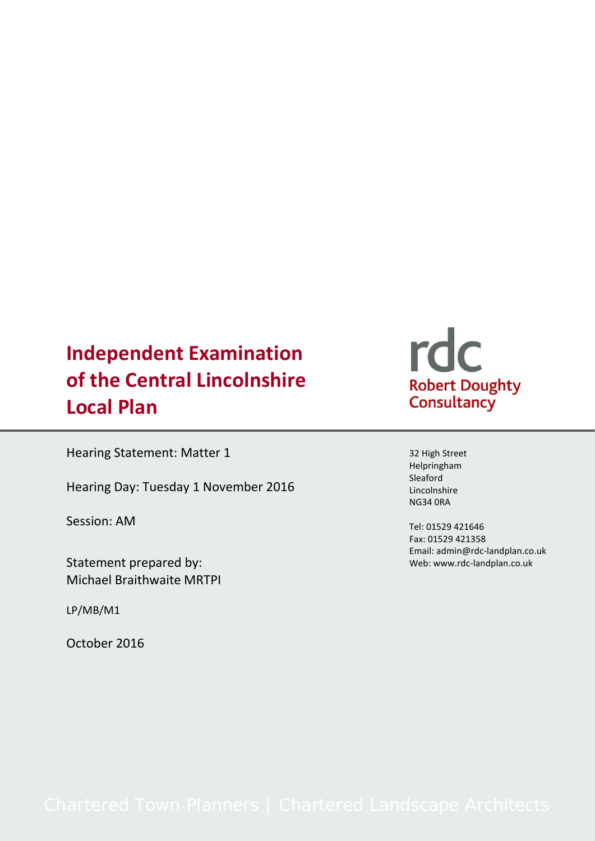# **Independent Examination of the Central Lincolnshire Local Plan**

Hearing Statement: Matter 1

Hearing Day: Tuesday 1 November 2016

Session: AM

Statement prepared by: Michael Braithwaite MRTPI

LP/MB/M1

October 2016



32 High Street Helpringham Sleaford Lincolnshire NG34 0RA

Tel: 01529 421646 Fax: 01529 421358 Email: admin@rdc-landplan.co.uk Web: www.rdc-landplan.co.uk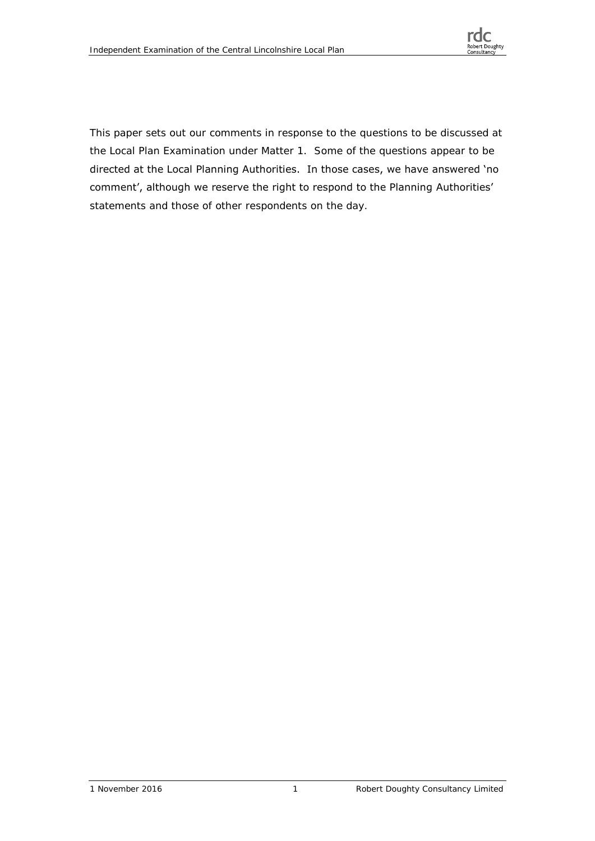

This paper sets out our comments in response to the questions to be discussed at the Local Plan Examination under Matter 1. Some of the questions appear to be directed at the Local Planning Authorities. In those cases, we have answered 'no comment', although we reserve the right to respond to the Planning Authorities' statements and those of other respondents on the day.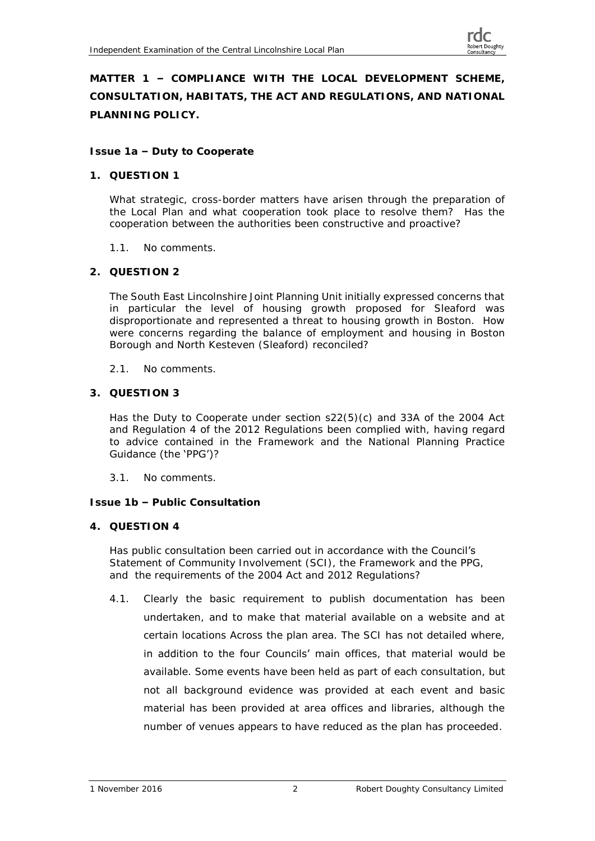**MATTER 1 – COMPLIANCE WITH THE LOCAL DEVELOPMENT SCHEME, CONSULTATION, HABITATS, THE ACT AND REGULATIONS, AND NATIONAL PLANNING POLICY.**

**Issue 1a – Duty to Cooperate**

**1. QUESTION 1**

What strategic, cross-border matters have arisen through the preparation of the Local Plan and what cooperation took place to resolve them? Has the cooperation between the authorities been constructive and proactive?

- 1.1. No comments.
- **2. QUESTION 2**

The South East Lincolnshire Joint Planning Unit initially expressed concerns that in particular the level of housing growth proposed for Sleaford was disproportionate and represented a threat to housing growth in Boston. How were concerns regarding the balance of employment and housing in Boston Borough and North Kesteven (Sleaford) reconciled?

- 2.1. No comments.
- **3. QUESTION 3**

Has the Duty to Cooperate under section s22(5)(c) and 33A of the 2004 Act and Regulation 4 of the 2012 Regulations been complied with, having regard to advice contained in the Framework and the National Planning Practice Guidance (the 'PPG')?

3.1. No comments.

**Issue 1b – Public Consultation**

**4. QUESTION 4**

Has public consultation been carried out in accordance with the Council's Statement of Community Involvement (SCI), the Framework and the PPG, and the requirements of the 2004 Act and 2012 Regulations?

4.1. Clearly the basic requirement to publish documentation has been undertaken, and to make that material available on a website and at certain locations Across the plan area. The SCI has not detailed where, in addition to the four Councils' main offices, that material would be available. Some events have been held as part of each consultation, but not all background evidence was provided at each event and basic material has been provided at area offices and libraries, although the number of venues appears to have reduced as the plan has proceeded.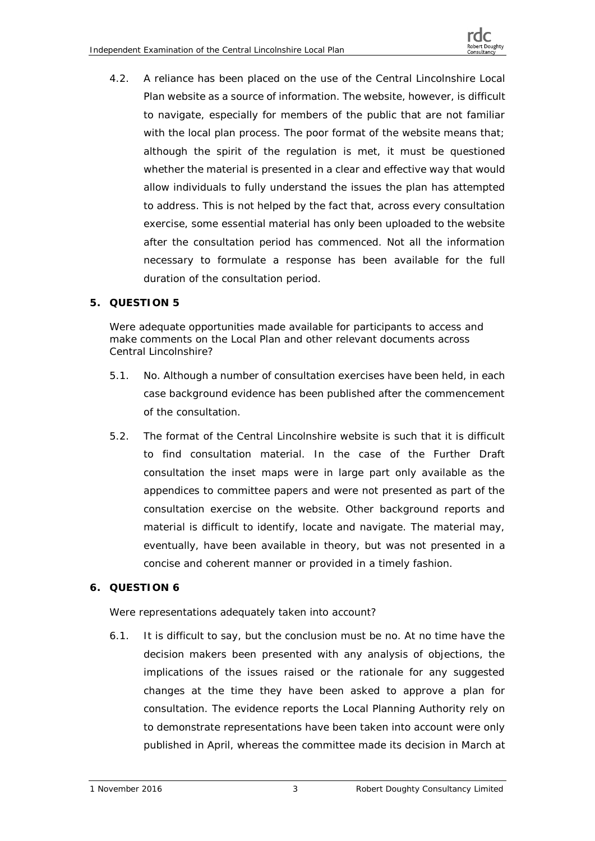4.2. A reliance has been placed on the use of the Central Lincolnshire Local Plan website as a source of information. The website, however, is difficult to navigate, especially for members of the public that are not familiar with the local plan process. The poor format of the website means that; although the spirit of the regulation is met, it must be questioned whether the material is presented in a clear and effective way that would allow individuals to fully understand the issues the plan has attempted to address. This is not helped by the fact that, across every consultation exercise, some essential material has only been uploaded to the website after the consultation period has commenced. Not all the information necessary to formulate a response has been available for the full duration of the consultation period.

# **5. QUESTION 5**

Were adequate opportunities made available for participants to access and make comments on the Local Plan and other relevant documents across Central Lincolnshire?

- 5.1. No. Although a number of consultation exercises have been held, in each case background evidence has been published after the commencement of the consultation.
- 5.2. The format of the Central Lincolnshire website is such that it is difficult to find consultation material. In the case of the Further Draft consultation the inset maps were in large part only available as the appendices to committee papers and were not presented as part of the consultation exercise on the website. Other background reports and material is difficult to identify, locate and navigate. The material may, eventually, have been available in theory, but was not presented in a concise and coherent manner or provided in a timely fashion.

# **6. QUESTION 6**

Were representations adequately taken into account?

6.1. It is difficult to say, but the conclusion must be no. At no time have the decision makers been presented with any analysis of objections, the implications of the issues raised or the rationale for any suggested changes at the time they have been asked to approve a plan for consultation. The evidence reports the Local Planning Authority rely on to demonstrate representations have been taken into account were only published in April, whereas the committee made its decision in March at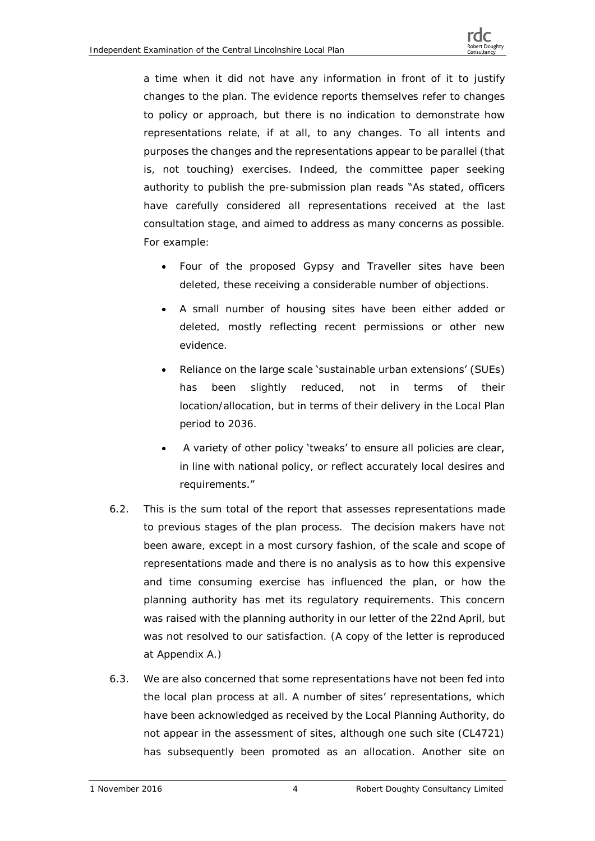a time when it did not have any information in front of it to justify changes to the plan. The evidence reports themselves refer to changes to policy or approach, but there is no indication to demonstrate how representations relate, if at all, to any changes. To all intents and purposes the changes and the representations appear to be parallel (that is, not touching) exercises. Indeed, the committee paper seeking authority to publish the pre-submission plan reads "As stated, officers have carefully considered all representations received at the last consultation stage, and aimed to address as many concerns as possible. For example:

- Four of the proposed Gypsy and Traveller sites have been deleted, these receiving a considerable number of objections.
- A small number of housing sites have been either added or deleted, mostly reflecting recent permissions or other new evidence.
- Reliance on the large scale 'sustainable urban extensions' (SUEs) has been slightly reduced, not in terms of their location/allocation, but in terms of their delivery in the Local Plan period to 2036.
- A variety of other policy 'tweaks' to ensure all policies are clear, in line with national policy, or reflect accurately local desires and requirements."
- 6.2. This is the sum total of the report that assesses representations made to previous stages of the plan process. The decision makers have not been aware, except in a most cursory fashion, of the scale and scope of representations made and there is no analysis as to how this expensive and time consuming exercise has influenced the plan, or how the planning authority has met its regulatory requirements. This concern was raised with the planning authority in our letter of the 22nd April, but was not resolved to our satisfaction. (A copy of the letter is reproduced at Appendix A.)
- 6.3. We are also concerned that some representations have not been fed into the local plan process at all. A number of sites' representations, which have been acknowledged as received by the Local Planning Authority, do not appear in the assessment of sites, although one such site (CL4721) has subsequently been promoted as an allocation. Another site on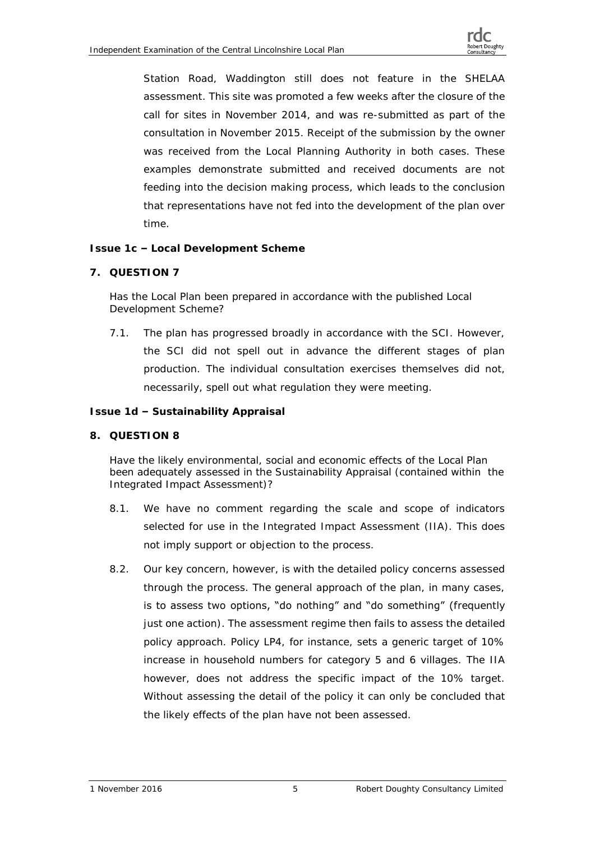Station Road, Waddington still does not feature in the SHELAA assessment. This site was promoted a few weeks after the closure of the call for sites in November 2014, and was re-submitted as part of the consultation in November 2015. Receipt of the submission by the owner was received from the Local Planning Authority in both cases. These examples demonstrate submitted and received documents are not feeding into the decision making process, which leads to the conclusion that representations have not fed into the development of the plan over time.

**Issue 1c – Local Development Scheme**

**7. QUESTION 7**

Has the Local Plan been prepared in accordance with the published Local Development Scheme?

7.1. The plan has progressed broadly in accordance with the SCI. However, the SCI did not spell out in advance the different stages of plan production. The individual consultation exercises themselves did not, necessarily, spell out what regulation they were meeting.

**Issue 1d – Sustainability Appraisal**

**8. QUESTION 8**

Have the likely environmental, social and economic effects of the Local Plan been adequately assessed in the Sustainability Appraisal (contained within the Integrated Impact Assessment)?

- 8.1. We have no comment regarding the scale and scope of indicators selected for use in the Integrated Impact Assessment (IIA). This does not imply support or objection to the process.
- 8.2. Our key concern, however, is with the detailed policy concerns assessed through the process. The general approach of the plan, in many cases, is to assess two options, "do nothing" and "do something" (frequently just one action). The assessment regime then fails to assess the detailed policy approach. Policy LP4, for instance, sets a generic target of 10% increase in household numbers for category 5 and 6 villages. The IIA however, does not address the specific impact of the 10% target. Without assessing the detail of the policy it can only be concluded that the likely effects of the plan have not been assessed.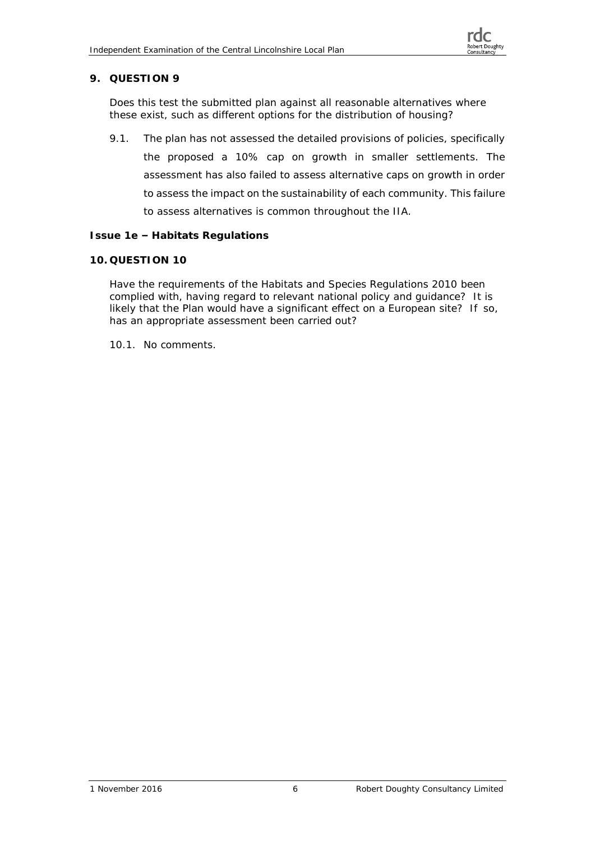## **9. QUESTION 9**

Does this test the submitted plan against all reasonable alternatives where these exist, such as different options for the distribution of housing?

9.1. The plan has not assessed the detailed provisions of policies, specifically the proposed a 10% cap on growth in smaller settlements. The assessment has also failed to assess alternative caps on growth in order to assess the impact on the sustainability of each community. This failure to assess alternatives is common throughout the IIA.

#### **Issue 1e – Habitats Regulations**

#### **10. QUESTION 10**

Have the requirements of the Habitats and Species Regulations 2010 been complied with, having regard to relevant national policy and guidance? It is likely that the Plan would have a significant effect on a European site? If so, has an appropriate assessment been carried out?

10.1. No comments.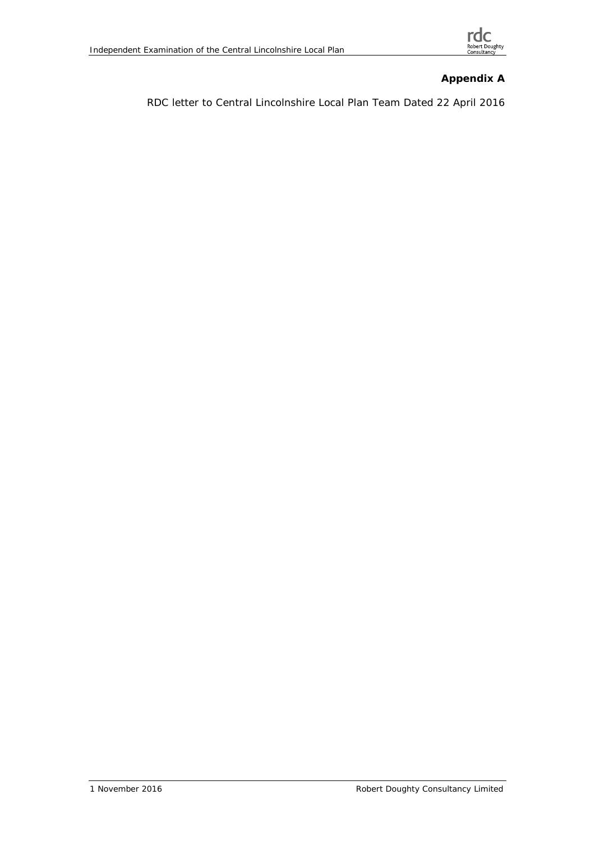

**Appendix A**

RDC letter to Central Lincolnshire Local Plan Team Dated 22 April 2016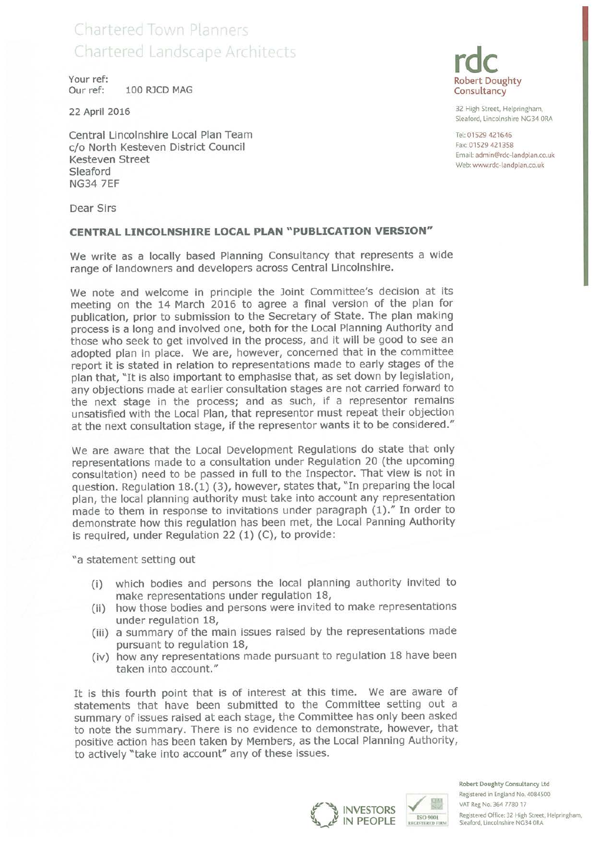# Chartered Town Planners **Chartered Landscape Architects**

Your ref: Our ref: 100 RJCD MAG

22 April 2016

Central Lincolnshire Local Plan Team c/o North Kesteven District Council Kesteven Street Sleaford **NG34 7EF** 



32 High Street, Helpringham, Sleaford, Lincolnshire NG34 ORA

Tel: 01529 421646 Fax: 01529 421358 Email: admin@rdc-landplan.co.uk Web: www.rdc-landplan.co.uk

Dear Sirs

#### CENTRAL LINCOLNSHIRE LOCAL PLAN "PUBLICATION VERSION"

We write as a locally based Planning Consultancy that represents a wide range of landowners and developers across Central Lincolnshire.

We note and welcome in principle the Joint Committee's decision at its meeting on the 14 March 2016 to agree a final version of the plan for publication, prior to submission to the Secretary of State. The plan making process is a long and involved one, both for the Local Planning Authority and those who seek to get involved in the process, and it will be good to see an adopted plan in place. We are, however, concerned that in the committee report it is stated in relation to representations made to early stages of the plan that, "It is also important to emphasise that, as set down by legislation, any objections made at earlier consultation stages are not carried forward to the next stage in the process; and as such, if a representor remains unsatisfied with the Local Plan, that representor must repeat their objection at the next consultation stage, if the representor wants it to be considered."

We are aware that the Local Development Regulations do state that only representations made to a consultation under Regulation 20 (the upcoming consultation) need to be passed in full to the Inspector. That view is not in question. Regulation 18.(1) (3), however, states that, "In preparing the local plan, the local planning authority must take into account any representation made to them in response to invitations under paragraph (1)." In order to demonstrate how this regulation has been met, the Local Panning Authority is required, under Regulation 22 (1) (C), to provide:

"a statement setting out

- which bodies and persons the local planning authority invited to  $(i)$ make representations under regulation 18,
- (ii) how those bodies and persons were invited to make representations under regulation 18,
- (iii) a summary of the main issues raised by the representations made pursuant to regulation 18,
- (iv) how any representations made pursuant to regulation 18 have been taken into account."

It is this fourth point that is of interest at this time. We are aware of statements that have been submitted to the Committee setting out a summary of issues raised at each stage, the Committee has only been asked to note the summary. There is no evidence to demonstrate, however, that positive action has been taken by Members, as the Local Planning Authority, to actively "take into account" any of these issues.



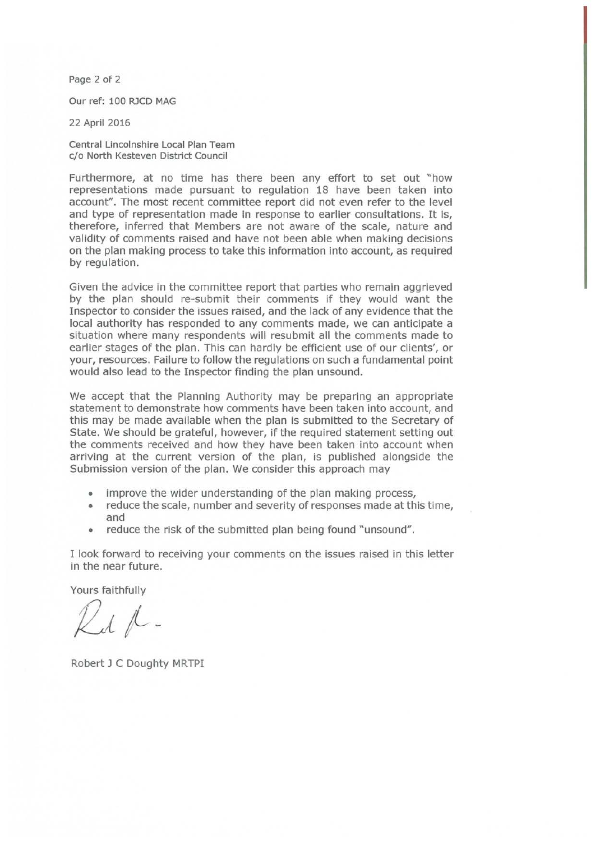Page 2 of 2

Our ref: 100 RJCD MAG

22 April 2016

Central Lincolnshire Local Plan Team c/o North Kesteven District Council

Furthermore, at no time has there been any effort to set out "how representations made pursuant to regulation 18 have been taken into account". The most recent committee report did not even refer to the level and type of representation made in response to earlier consultations. It is, therefore, inferred that Members are not aware of the scale, nature and validity of comments raised and have not been able when making decisions on the plan making process to take this information into account, as required by regulation.

Given the advice in the committee report that parties who remain aggrieved by the plan should re-submit their comments if they would want the Inspector to consider the issues raised, and the lack of any evidence that the local authority has responded to any comments made, we can anticipate a situation where many respondents will resubmit all the comments made to earlier stages of the plan. This can hardly be efficient use of our clients', or your, resources. Failure to follow the regulations on such a fundamental point would also lead to the Inspector finding the plan unsound.

We accept that the Planning Authority may be preparing an appropriate statement to demonstrate how comments have been taken into account, and this may be made available when the plan is submitted to the Secretary of State. We should be grateful, however, if the required statement setting out the comments received and how they have been taken into account when arriving at the current version of the plan, is published alongside the Submission version of the plan. We consider this approach may

- improve the wider understanding of the plan making process,
- $\bullet$ reduce the scale, number and severity of responses made at this time, and
- reduce the risk of the submitted plan being found "unsound".

I look forward to receiving your comments on the issues raised in this letter in the near future.

Yours faithfully

 $\n *l l .*$ 

Robert J C Doughty MRTPI